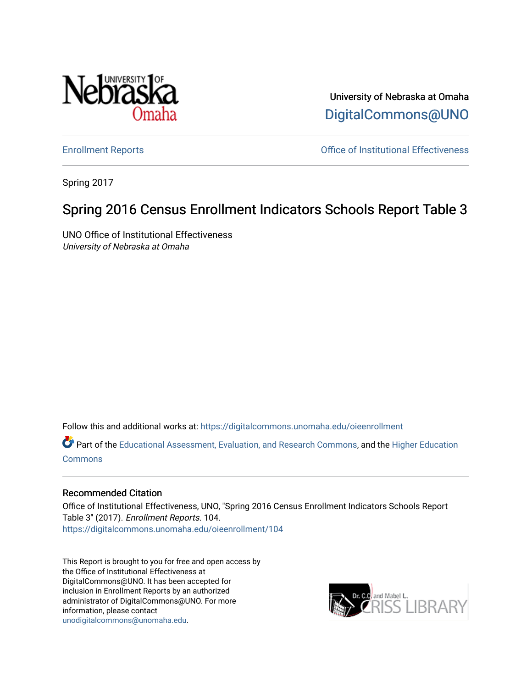

University of Nebraska at Omaha [DigitalCommons@UNO](https://digitalcommons.unomaha.edu/) 

[Enrollment Reports](https://digitalcommons.unomaha.edu/oieenrollment) [Office of Institutional Effectiveness](https://digitalcommons.unomaha.edu/oie) 

Spring 2017

## Spring 2016 Census Enrollment Indicators Schools Report Table 3

UNO Office of Institutional Effectiveness University of Nebraska at Omaha

Follow this and additional works at: [https://digitalcommons.unomaha.edu/oieenrollment](https://digitalcommons.unomaha.edu/oieenrollment?utm_source=digitalcommons.unomaha.edu%2Foieenrollment%2F104&utm_medium=PDF&utm_campaign=PDFCoverPages) 

Part of the [Educational Assessment, Evaluation, and Research Commons](http://network.bepress.com/hgg/discipline/796?utm_source=digitalcommons.unomaha.edu%2Foieenrollment%2F104&utm_medium=PDF&utm_campaign=PDFCoverPages), and the [Higher Education](http://network.bepress.com/hgg/discipline/1245?utm_source=digitalcommons.unomaha.edu%2Foieenrollment%2F104&utm_medium=PDF&utm_campaign=PDFCoverPages) **[Commons](http://network.bepress.com/hgg/discipline/1245?utm_source=digitalcommons.unomaha.edu%2Foieenrollment%2F104&utm_medium=PDF&utm_campaign=PDFCoverPages)** 

## Recommended Citation

Office of Institutional Effectiveness, UNO, "Spring 2016 Census Enrollment Indicators Schools Report Table 3" (2017). Enrollment Reports. 104. [https://digitalcommons.unomaha.edu/oieenrollment/104](https://digitalcommons.unomaha.edu/oieenrollment/104?utm_source=digitalcommons.unomaha.edu%2Foieenrollment%2F104&utm_medium=PDF&utm_campaign=PDFCoverPages)

This Report is brought to you for free and open access by the Office of Institutional Effectiveness at DigitalCommons@UNO. It has been accepted for inclusion in Enrollment Reports by an authorized administrator of DigitalCommons@UNO. For more information, please contact [unodigitalcommons@unomaha.edu.](mailto:unodigitalcommons@unomaha.edu)